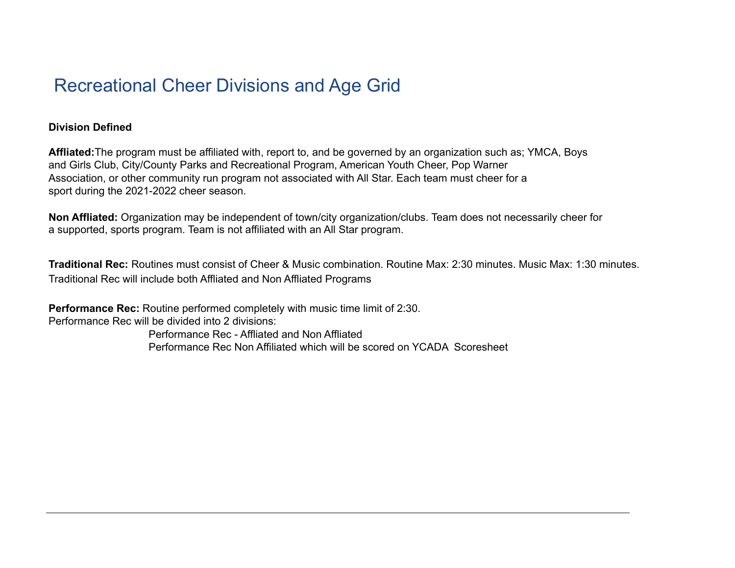## Recreational Cheer Divisions and Age Grid

## **Division Defined**

**Affliated:**The program must be affiliated with, report to, and be governed by an organization such as; YMCA, Boys and Girls Club, City/County Parks and Recreational Program, American Youth Cheer, Pop Warner Association, or other community run program not associated with All Star. Each team must cheer for a sport during the 2021-2022 cheer season.

**Non Affliated:** Organization may be independent of town/city organization/clubs. Team does not necessarily cheer for a supported, sports program. Team is not affiliated with an All Star program.

**Traditional Rec:** Routines must consist of Cheer & Music combination. Routine Max: 2:30 minutes. Music Max: 1:30 minutes. Traditional Rec will include both Affliated and Non Affliated Programs

**Performance Rec:** Routine performed completely with music time limit of 2:30. Performance Rec will be divided into 2 divisions:

Performance Rec - Affliated and Non Affliated Performance Rec Non Affiliated which will be scored on YCADA Scoresheet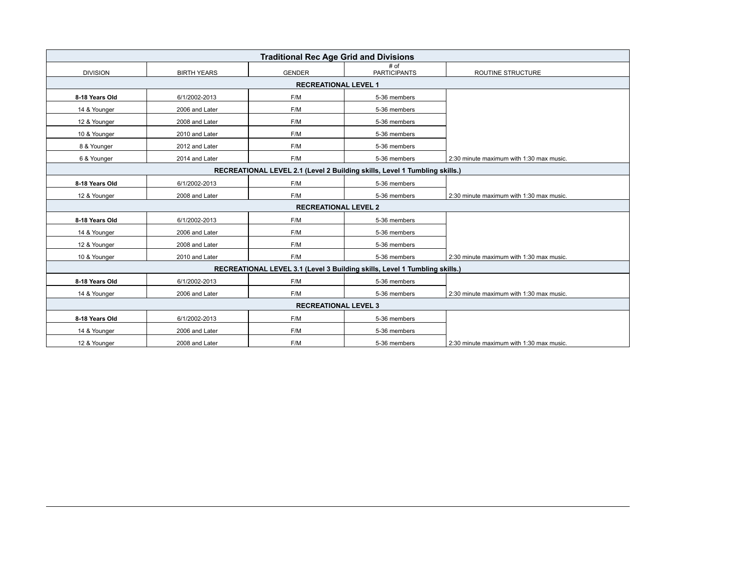| <b>Traditional Rec Age Grid and Divisions</b>                              |                    |                                                                            |                             |                                          |  |  |
|----------------------------------------------------------------------------|--------------------|----------------------------------------------------------------------------|-----------------------------|------------------------------------------|--|--|
| <b>DIVISION</b>                                                            | <b>BIRTH YEARS</b> | <b>GENDER</b>                                                              | # of<br><b>PARTICIPANTS</b> | ROUTINE STRUCTURE                        |  |  |
| <b>RECREATIONAL LEVEL 1</b>                                                |                    |                                                                            |                             |                                          |  |  |
| 8-18 Years Old                                                             | 6/1/2002-2013      | F/M                                                                        | 5-36 members                |                                          |  |  |
| 14 & Younger                                                               | 2006 and Later     | F/M                                                                        | 5-36 members                |                                          |  |  |
| 12 & Younger                                                               | 2008 and Later     | F/M                                                                        | 5-36 members                |                                          |  |  |
| 10 & Younger                                                               | 2010 and Later     | F/M                                                                        | 5-36 members                |                                          |  |  |
| 8 & Younger                                                                | 2012 and Later     | F/M                                                                        | 5-36 members                |                                          |  |  |
| 6 & Younger                                                                | 2014 and Later     | F/M                                                                        | 5-36 members                | 2:30 minute maximum with 1:30 max music. |  |  |
|                                                                            |                    | RECREATIONAL LEVEL 2.1 (Level 2 Building skills, Level 1 Tumbling skills.) |                             |                                          |  |  |
| 8-18 Years Old                                                             | 6/1/2002-2013      | F/M                                                                        | 5-36 members                |                                          |  |  |
| 12 & Younger                                                               | 2008 and Later     | F/M                                                                        | 5-36 members                | 2:30 minute maximum with 1:30 max music. |  |  |
| <b>RECREATIONAL LEVEL 2</b>                                                |                    |                                                                            |                             |                                          |  |  |
| 8-18 Years Old                                                             | 6/1/2002-2013      | F/M                                                                        | 5-36 members                |                                          |  |  |
| 14 & Younger                                                               | 2006 and Later     | F/M                                                                        | 5-36 members                |                                          |  |  |
| 12 & Younger                                                               | 2008 and Later     | F/M                                                                        | 5-36 members                |                                          |  |  |
| 10 & Younger                                                               | 2010 and Later     | F/M                                                                        | 5-36 members                | 2:30 minute maximum with 1:30 max music. |  |  |
| RECREATIONAL LEVEL 3.1 (Level 3 Building skills, Level 1 Tumbling skills.) |                    |                                                                            |                             |                                          |  |  |
| 8-18 Years Old                                                             | 6/1/2002-2013      | F/M                                                                        | 5-36 members                |                                          |  |  |
| 14 & Younger                                                               | 2006 and Later     | F/M                                                                        | 5-36 members                | 2:30 minute maximum with 1:30 max music. |  |  |
| <b>RECREATIONAL LEVEL 3</b>                                                |                    |                                                                            |                             |                                          |  |  |
| 8-18 Years Old                                                             | 6/1/2002-2013      | F/M                                                                        | 5-36 members                |                                          |  |  |
| 14 & Younger                                                               | 2006 and Later     | F/M                                                                        | 5-36 members                |                                          |  |  |
| 12 & Younger                                                               | 2008 and Later     | F/M                                                                        | 5-36 members                | 2:30 minute maximum with 1:30 max music. |  |  |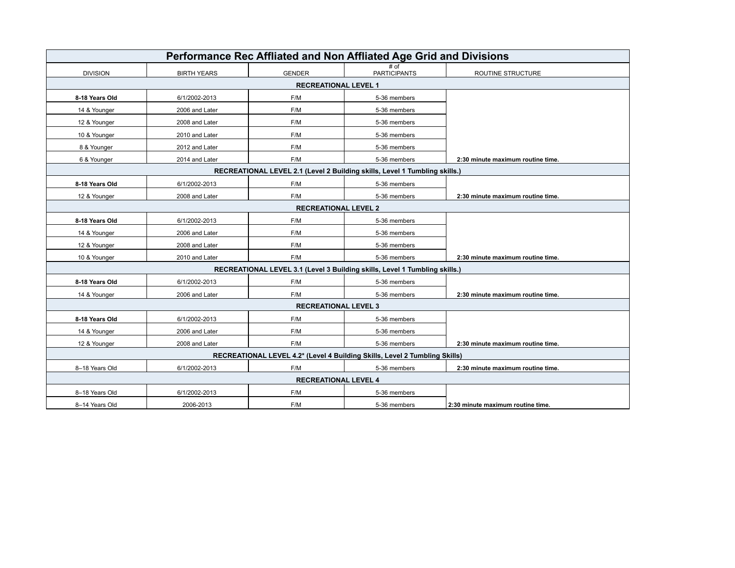| Performance Rec Affliated and Non Affliated Age Grid and Divisions         |                    |                             |                             |                                   |  |
|----------------------------------------------------------------------------|--------------------|-----------------------------|-----------------------------|-----------------------------------|--|
| <b>DIVISION</b>                                                            | <b>BIRTH YEARS</b> | <b>GENDER</b>               | # of<br><b>PARTICIPANTS</b> | ROUTINE STRUCTURE                 |  |
| <b>RECREATIONAL LEVEL 1</b>                                                |                    |                             |                             |                                   |  |
| 8-18 Years Old                                                             | 6/1/2002-2013      | F/M                         | 5-36 members                |                                   |  |
| 14 & Younger                                                               | 2006 and Later     | F/M                         | 5-36 members                |                                   |  |
| 12 & Younger                                                               | 2008 and Later     | F/M                         | 5-36 members                |                                   |  |
| 10 & Younger                                                               | 2010 and Later     | F/M                         | 5-36 members                |                                   |  |
| 8 & Younger                                                                | 2012 and Later     | F/M                         | 5-36 members                |                                   |  |
| 6 & Younger                                                                | 2014 and Later     | F/M                         | 5-36 members                | 2:30 minute maximum routine time. |  |
| RECREATIONAL LEVEL 2.1 (Level 2 Building skills, Level 1 Tumbling skills.) |                    |                             |                             |                                   |  |
| 8-18 Years Old                                                             | 6/1/2002-2013      | F/M                         | 5-36 members                |                                   |  |
| 12 & Younger                                                               | 2008 and Later     | F/M                         | 5-36 members                | 2:30 minute maximum routine time. |  |
|                                                                            |                    | <b>RECREATIONAL LEVEL 2</b> |                             |                                   |  |
| 8-18 Years Old                                                             | 6/1/2002-2013      | F/M                         | 5-36 members                |                                   |  |
| 14 & Younger                                                               | 2006 and Later     | F/M                         | 5-36 members                |                                   |  |
| 12 & Younger                                                               | 2008 and Later     | F/M                         | 5-36 members                |                                   |  |
| 10 & Younger                                                               | 2010 and Later     | F/M                         | 5-36 members                | 2:30 minute maximum routine time. |  |
| RECREATIONAL LEVEL 3.1 (Level 3 Building skills, Level 1 Tumbling skills.) |                    |                             |                             |                                   |  |
| 8-18 Years Old                                                             | 6/1/2002-2013      | F/M                         | 5-36 members                |                                   |  |
| 14 & Younger                                                               | 2006 and Later     | F/M                         | 5-36 members                | 2:30 minute maximum routine time. |  |
| <b>RECREATIONAL LEVEL 3</b>                                                |                    |                             |                             |                                   |  |
| 8-18 Years Old                                                             | 6/1/2002-2013      | F/M                         | 5-36 members                |                                   |  |
| 14 & Younger                                                               | 2006 and Later     | F/M                         | 5-36 members                |                                   |  |
| 12 & Younger                                                               | 2008 and Later     | F/M                         | 5-36 members                | 2:30 minute maximum routine time. |  |
| RECREATIONAL LEVEL 4.2* (Level 4 Building Skills, Level 2 Tumbling Skills) |                    |                             |                             |                                   |  |
| 8-18 Years Old                                                             | 6/1/2002-2013      | F/M                         | 5-36 members                | 2:30 minute maximum routine time. |  |
| <b>RECREATIONAL LEVEL 4</b>                                                |                    |                             |                             |                                   |  |
| 8-18 Years Old                                                             | 6/1/2002-2013      | F/M                         | 5-36 members                |                                   |  |
| 8-14 Years Old                                                             | 2006-2013          | F/M                         | 5-36 members                | 2:30 minute maximum routine time. |  |